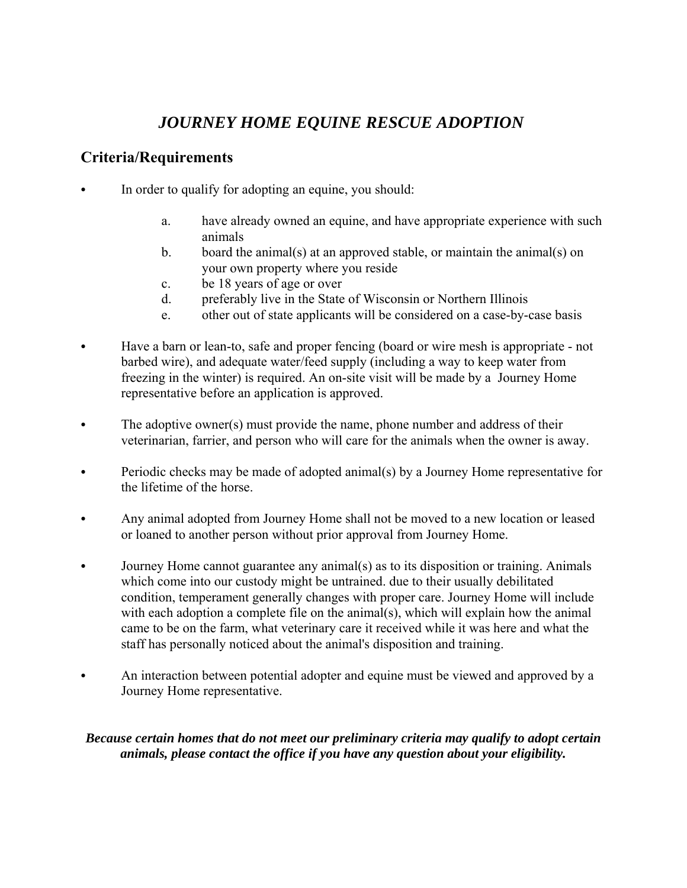# *JOURNEY HOME EQUINE RESCUE ADOPTION*

## **Criteria/Requirements**

- In order to qualify for adopting an equine, you should:
	- a. have already owned an equine, and have appropriate experience with such animals
	- b. board the animal(s) at an approved stable, or maintain the animal(s) on your own property where you reside
	- c. be 18 years of age or over
	- d. preferably live in the State of Wisconsin or Northern Illinois
	- e. other out of state applicants will be considered on a case-by-case basis
- Have a barn or lean-to, safe and proper fencing (board or wire mesh is appropriate not barbed wire), and adequate water/feed supply (including a way to keep water from freezing in the winter) is required. An on-site visit will be made by a Journey Home representative before an application is approved.
- $\bullet$  The adoptive owner(s) must provide the name, phone number and address of their veterinarian, farrier, and person who will care for the animals when the owner is away.
- Periodic checks may be made of adopted animal(s) by a Journey Home representative for the lifetime of the horse.
- Any animal adopted from Journey Home shall not be moved to a new location or leased or loaned to another person without prior approval from Journey Home.
- Journey Home cannot guarantee any animal(s) as to its disposition or training. Animals which come into our custody might be untrained. due to their usually debilitated condition, temperament generally changes with proper care. Journey Home will include with each adoption a complete file on the animal(s), which will explain how the animal came to be on the farm, what veterinary care it received while it was here and what the staff has personally noticed about the animal's disposition and training.
- An interaction between potential adopter and equine must be viewed and approved by a Journey Home representative.

#### *Because certain homes that do not meet our preliminary criteria may qualify to adopt certain animals, please contact the office if you have any question about your eligibility.*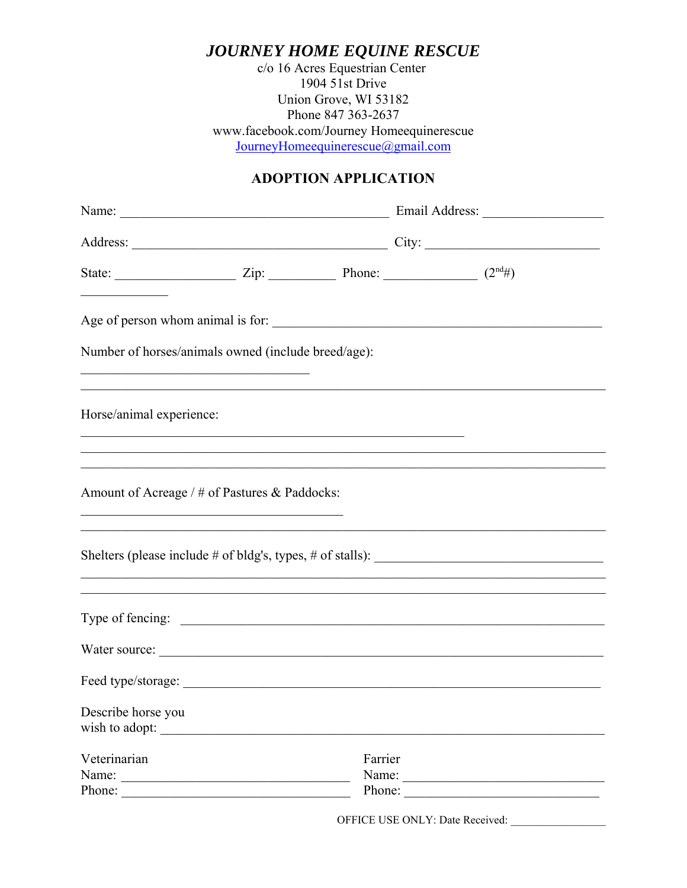JOURNEY HOME EQUINE RESCUE

c/o 16 Acres Equestrian Center  $1904$  51st Drive Union Grove, WI 53182 Phone 847 363-2637 www.facebook.com/Journey Homeequinerescue JourneyHomeequinerescue@gmail.com

### **ADOPTION APPLICATION**

| State: $\frac{}{\sqrt{2\pi}}$ Zip: $\frac{}{\sqrt{2\pi}}$ Phone: $\frac{}{\sqrt{2\pi}}$ (2 <sup>nd</sup> #)  |         |        |
|--------------------------------------------------------------------------------------------------------------|---------|--------|
| Age of person whom animal is for:                                                                            |         |        |
| Number of horses/animals owned (include breed/age):                                                          |         |        |
| Horse/animal experience:                                                                                     |         |        |
| Amount of Acreage / # of Pastures & Paddocks:<br><u> 1989 - Johann Stoff, amerikansk politiker (d. 1989)</u> |         |        |
| ,我们也不能在这里的人,我们也不能在这里的人,我们也不能在这里的人,我们也不能在这里的人,我们也不能在这里的人,我们也不能在这里的人,我们也不能在这里的人,我们也                            |         |        |
| ,我们也不能在这里的时候,我们也不能在这里的时候,我们也不能会在这里,我们也不能会在这里的时候,我们也不能会在这里的时候,我们也不能会在这里的时候,我们也不能会                             |         |        |
|                                                                                                              |         |        |
|                                                                                                              |         |        |
| Describe horse you<br>wish to adopt:                                                                         |         |        |
| Veterinarian<br>Name:                                                                                        | Farrier | Phone: |
| Phone:                                                                                                       |         |        |

OFFICE USE ONLY: Date Received: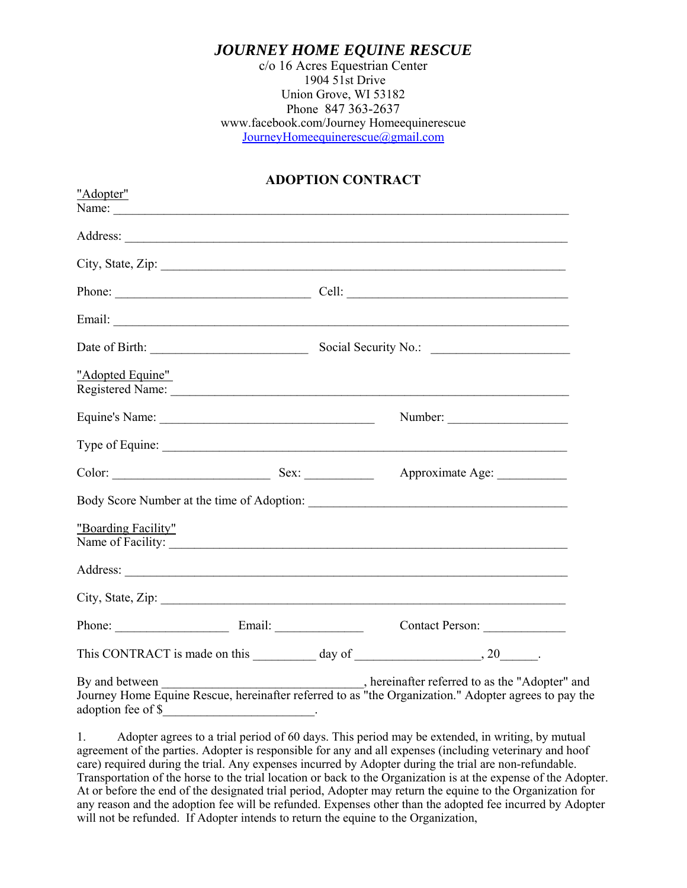### *JOURNEY HOME EQUINE RESCUE*

c/o 16 Acres Equestrian Center 1904 51st Drive Union Grove, WI 53182 Phone 847 363-2637 www.facebook.com/Journey Homeequinerescue JourneyHomeequinerescue@gmail.com

#### **ADOPTION CONTRACT**

| "Adopter"                                                                                                                                                                                                                                                                                                                                                                                                              |                                                                                               |  |
|------------------------------------------------------------------------------------------------------------------------------------------------------------------------------------------------------------------------------------------------------------------------------------------------------------------------------------------------------------------------------------------------------------------------|-----------------------------------------------------------------------------------------------|--|
| Name: $\frac{1}{\sqrt{1-\frac{1}{2}}}\left\{ \frac{1}{2}, \frac{1}{2}, \frac{1}{2}, \frac{1}{2}, \frac{1}{2}, \frac{1}{2}, \frac{1}{2}, \frac{1}{2}, \frac{1}{2}, \frac{1}{2}, \frac{1}{2}, \frac{1}{2}, \frac{1}{2}, \frac{1}{2}, \frac{1}{2}, \frac{1}{2}, \frac{1}{2}, \frac{1}{2}, \frac{1}{2}, \frac{1}{2}, \frac{1}{2}, \frac{1}{2}, \frac{1}{2}, \frac{1}{2}, \frac{1}{2}, \frac{1}{2}, \frac{1}{2}, \frac{1}{$ |                                                                                               |  |
|                                                                                                                                                                                                                                                                                                                                                                                                                        |                                                                                               |  |
|                                                                                                                                                                                                                                                                                                                                                                                                                        |                                                                                               |  |
|                                                                                                                                                                                                                                                                                                                                                                                                                        |                                                                                               |  |
|                                                                                                                                                                                                                                                                                                                                                                                                                        |                                                                                               |  |
|                                                                                                                                                                                                                                                                                                                                                                                                                        |                                                                                               |  |
| "Adopted Equine"                                                                                                                                                                                                                                                                                                                                                                                                       |                                                                                               |  |
|                                                                                                                                                                                                                                                                                                                                                                                                                        | Number:                                                                                       |  |
|                                                                                                                                                                                                                                                                                                                                                                                                                        |                                                                                               |  |
|                                                                                                                                                                                                                                                                                                                                                                                                                        | Approximate Age:                                                                              |  |
|                                                                                                                                                                                                                                                                                                                                                                                                                        |                                                                                               |  |
| "Boarding Facility"                                                                                                                                                                                                                                                                                                                                                                                                    |                                                                                               |  |
|                                                                                                                                                                                                                                                                                                                                                                                                                        |                                                                                               |  |
|                                                                                                                                                                                                                                                                                                                                                                                                                        | City, State, Zip:                                                                             |  |
|                                                                                                                                                                                                                                                                                                                                                                                                                        |                                                                                               |  |
|                                                                                                                                                                                                                                                                                                                                                                                                                        | This CONTRACT is made on this $\_\_\_\_\_\_\$ day of $\_\_\_\_\_\_\_\_$ , 20 $\_\_\_\_\_\_$ . |  |
| adoption fee of \$<br>the contract of the contract of the contract of the contract of the contract of the contract of                                                                                                                                                                                                                                                                                                  |                                                                                               |  |

1. Adopter agrees to a trial period of 60 days. This period may be extended, in writing, by mutual agreement of the parties. Adopter is responsible for any and all expenses (including veterinary and hoof care) required during the trial. Any expenses incurred by Adopter during the trial are non-refundable. Transportation of the horse to the trial location or back to the Organization is at the expense of the Adopter. At or before the end of the designated trial period, Adopter may return the equine to the Organization for any reason and the adoption fee will be refunded. Expenses other than the adopted fee incurred by Adopter will not be refunded. If Adopter intends to return the equine to the Organization,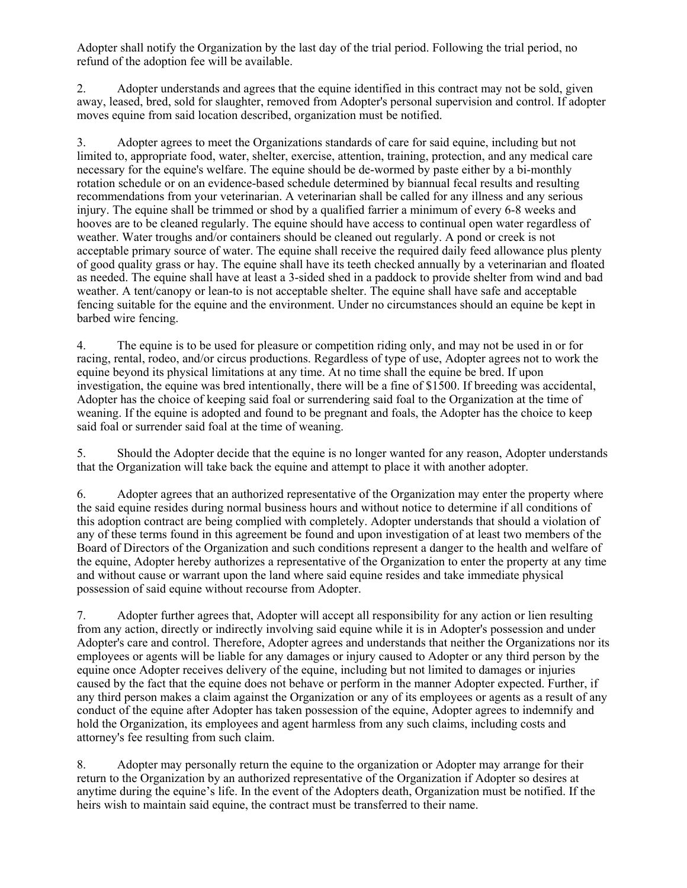Adopter shall notify the Organization by the last day of the trial period. Following the trial period, no refund of the adoption fee will be available.

2. Adopter understands and agrees that the equine identified in this contract may not be sold, given away, leased, bred, sold for slaughter, removed from Adopter's personal supervision and control. If adopter moves equine from said location described, organization must be notified.

3. Adopter agrees to meet the Organizations standards of care for said equine, including but not limited to, appropriate food, water, shelter, exercise, attention, training, protection, and any medical care necessary for the equine's welfare. The equine should be de-wormed by paste either by a bi-monthly rotation schedule or on an evidence-based schedule determined by biannual fecal results and resulting recommendations from your veterinarian. A veterinarian shall be called for any illness and any serious injury. The equine shall be trimmed or shod by a qualified farrier a minimum of every 6-8 weeks and hooves are to be cleaned regularly. The equine should have access to continual open water regardless of weather. Water troughs and/or containers should be cleaned out regularly. A pond or creek is not acceptable primary source of water. The equine shall receive the required daily feed allowance plus plenty of good quality grass or hay. The equine shall have its teeth checked annually by a veterinarian and floated as needed. The equine shall have at least a 3-sided shed in a paddock to provide shelter from wind and bad weather. A tent/canopy or lean-to is not acceptable shelter. The equine shall have safe and acceptable fencing suitable for the equine and the environment. Under no circumstances should an equine be kept in barbed wire fencing.

4. The equine is to be used for pleasure or competition riding only, and may not be used in or for racing, rental, rodeo, and/or circus productions. Regardless of type of use, Adopter agrees not to work the equine beyond its physical limitations at any time. At no time shall the equine be bred. If upon investigation, the equine was bred intentionally, there will be a fine of \$1500. If breeding was accidental, Adopter has the choice of keeping said foal or surrendering said foal to the Organization at the time of weaning. If the equine is adopted and found to be pregnant and foals, the Adopter has the choice to keep said foal or surrender said foal at the time of weaning.

5. Should the Adopter decide that the equine is no longer wanted for any reason, Adopter understands that the Organization will take back the equine and attempt to place it with another adopter.

6. Adopter agrees that an authorized representative of the Organization may enter the property where the said equine resides during normal business hours and without notice to determine if all conditions of this adoption contract are being complied with completely. Adopter understands that should a violation of any of these terms found in this agreement be found and upon investigation of at least two members of the Board of Directors of the Organization and such conditions represent a danger to the health and welfare of the equine, Adopter hereby authorizes a representative of the Organization to enter the property at any time and without cause or warrant upon the land where said equine resides and take immediate physical possession of said equine without recourse from Adopter.

7. Adopter further agrees that, Adopter will accept all responsibility for any action or lien resulting from any action, directly or indirectly involving said equine while it is in Adopter's possession and under Adopter's care and control. Therefore, Adopter agrees and understands that neither the Organizations nor its employees or agents will be liable for any damages or injury caused to Adopter or any third person by the equine once Adopter receives delivery of the equine, including but not limited to damages or injuries caused by the fact that the equine does not behave or perform in the manner Adopter expected. Further, if any third person makes a claim against the Organization or any of its employees or agents as a result of any conduct of the equine after Adopter has taken possession of the equine, Adopter agrees to indemnify and hold the Organization, its employees and agent harmless from any such claims, including costs and attorney's fee resulting from such claim.

8. Adopter may personally return the equine to the organization or Adopter may arrange for their return to the Organization by an authorized representative of the Organization if Adopter so desires at anytime during the equine's life. In the event of the Adopters death, Organization must be notified. If the heirs wish to maintain said equine, the contract must be transferred to their name.